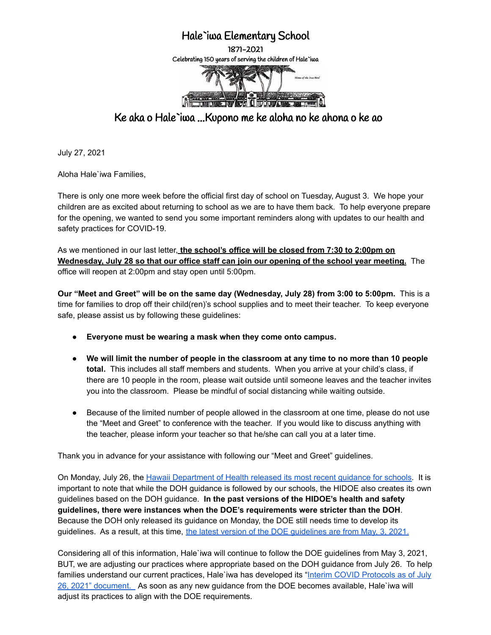## Hale`iwa Elementary School

1871-2021 Celebrating 150 years of serving the children of Hale`iwa



Ke aka o Hale`iwa ...Kupono me ke aloha no ke ahona o ke ao

July 27, 2021

Aloha Hale`iwa Families,

There is only one more week before the official first day of school on Tuesday, August 3. We hope your children are as excited about returning to school as we are to have them back. To help everyone prepare for the opening, we wanted to send you some important reminders along with updates to our health and safety practices for COVID-19.

As we mentioned in our last letter, **the school's office will be closed from 7:30 to 2:00pm on Wednesday, July 28 so that our office staff can join our opening of the school year meeting.** The office will reopen at 2:00pm and stay open until 5:00pm.

**Our "Meet and Greet" will be on the same day (Wednesday, July 28) from 3:00 to 5:00pm.** This is a time for families to drop off their child(ren)'s school supplies and to meet their teacher. To keep everyone safe, please assist us by following these guidelines:

- **● Everyone must be wearing a mask when they come onto campus.**
- **We will limit the number of people in the classroom at any time to no more than 10 people total.** This includes all staff members and students. When you arrive at your child's class, if there are 10 people in the room, please wait outside until someone leaves and the teacher invites you into the classroom. Please be mindful of social distancing while waiting outside.
- Because of the limited number of people allowed in the classroom at one time, please do not use the "Meet and Greet" to conference with the teacher. If you would like to discuss anything with the teacher, please inform your teacher so that he/she can call you at a later time.

Thank you in advance for your assistance with following our "Meet and Greet" guidelines.

On Monday, July 26, the Hawaii [Department](https://drive.google.com/file/d/18BU_VvC2VEaY3BLL4fV__2fVwNByF_hV/view?usp=sharing) of Health released its most recent guidance for schools. It is important to note that while the DOH guidance is followed by our schools, the HIDOE also creates its own guidelines based on the DOH guidance. **In the past versions of the HIDOE's health and safety guidelines, there were instances when the DOE's requirements were stricter than the DOH**. Because the DOH only released its guidance on Monday, the DOE still needs time to develop its [guidelines](https://drive.google.com/file/d/1NA8CpQvfa95SLwsUaYbM9kMUDgC5ICR-/view?usp=sharing). As a result, at this time, the latest version of the DOE quidelines are from May, 3, 2021.

Considering all of this information, Hale`iwa will continue to follow the DOE guidelines from May 3, 2021, BUT, we are adjusting our practices where appropriate based on the DOH guidance from July 26. To help families understand our current practices, Hale`iwa has developed its "Interim COVID [Protocols](https://drive.google.com/file/d/1RJvh25ZDzEjxQK8SaEriORfejjc0nRW4/view?usp=sharing) as of July 26, 2021" [document.](https://drive.google.com/file/d/1RJvh25ZDzEjxQK8SaEriORfejjc0nRW4/view?usp=sharing) As soon as any new guidance from the DOE becomes available, Hale`iwa will adjust its practices to align with the DOE requirements.